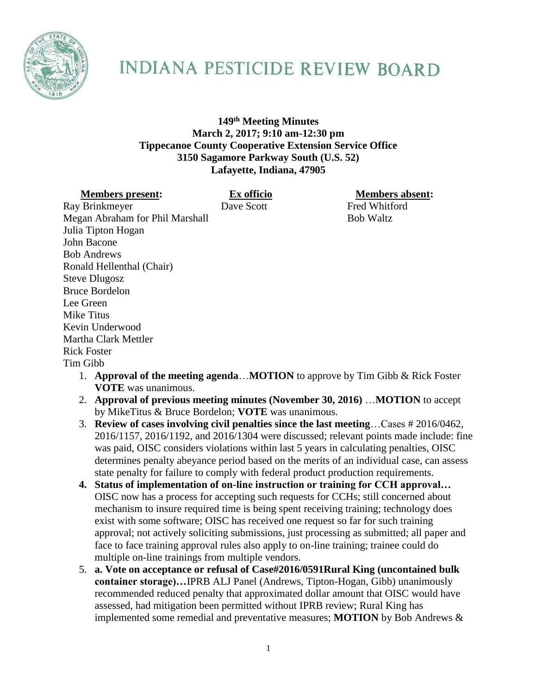

## INDIANA PESTICIDE REVIEW BOARD

**149th Meeting Minutes March 2, 2017; 9:10 am-12:30 pm Tippecanoe County Cooperative Extension Service Office 3150 Sagamore Parkway South (U.S. 52) Lafayette, Indiana, 47905**

**Members present: Ex officio Members absent:**

Ray Brinkmeyer Dave Scott Fred Whitford Megan Abraham for Phil Marshall Bob Waltz Julia Tipton Hogan John Bacone Bob Andrews Ronald Hellenthal (Chair) Steve Dlugosz Bruce Bordelon Lee Green Mike Titus Kevin Underwood Martha Clark Mettler Rick Foster Tim Gibb

- 1. **Approval of the meeting agenda**…**MOTION** to approve by Tim Gibb & Rick Foster **VOTE** was unanimous.
- 2. **Approval of previous meeting minutes (November 30, 2016)** …**MOTION** to accept by MikeTitus & Bruce Bordelon; **VOTE** was unanimous.
- 3. **Review of cases involving civil penalties since the last meeting**…Cases # 2016/0462, 2016/1157, 2016/1192, and 2016/1304 were discussed; relevant points made include: fine was paid, OISC considers violations within last 5 years in calculating penalties, OISC determines penalty abeyance period based on the merits of an individual case, can assess state penalty for failure to comply with federal product production requirements.
- **4. Status of implementation of on-line instruction or training for CCH approval…** OISC now has a process for accepting such requests for CCHs; still concerned about mechanism to insure required time is being spent receiving training; technology does exist with some software; OISC has received one request so far for such training approval; not actively soliciting submissions, just processing as submitted; all paper and face to face training approval rules also apply to on-line training; trainee could do multiple on-line trainings from multiple vendors.
- 5. **a. Vote on acceptance or refusal of Case#2016/0591Rural King (uncontained bulk container storage)…**IPRB ALJ Panel (Andrews, Tipton-Hogan, Gibb) unanimously recommended reduced penalty that approximated dollar amount that OISC would have assessed, had mitigation been permitted without IPRB review; Rural King has implemented some remedial and preventative measures; **MOTION** by Bob Andrews &